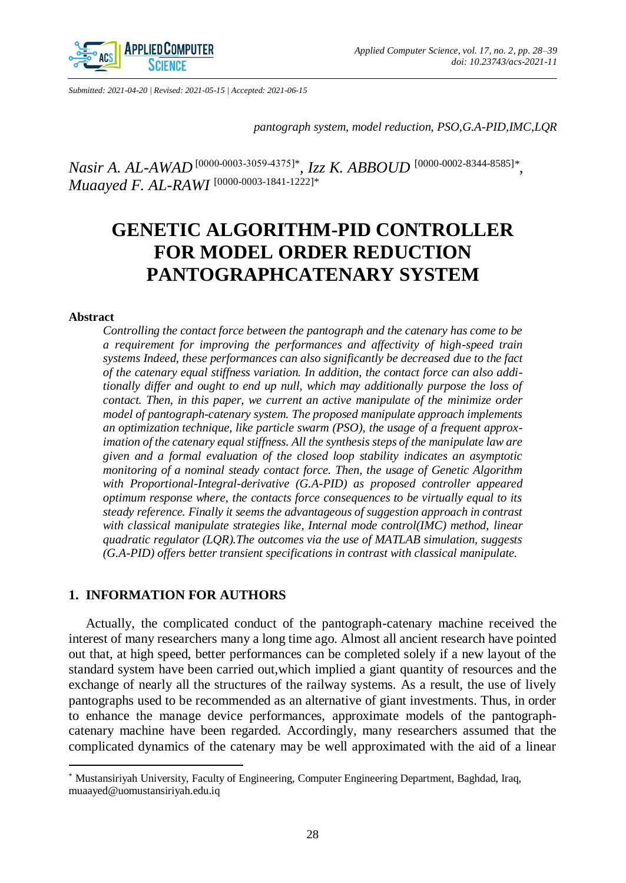

*Submitted: 2021-04-20 | Revised: 2021-05-15 | Accepted: 2021-06-15*

*pantograph system, model reduction, PSO,G.A-PID,IMC,LQR*

*Nasir A. AL-AWAD* [\[0000-0000-0003-5030\]](https://orcid.org/4375-3059-0003-0000)\* *, Izz K. ABBOUD* [\[0000-0002-8344-8585\]](https://orcid.org/0000-0002-8344-8585)*\* , Muaayed F. AL-RAWI* <sup>[\[0000-0003-1841-1222\]](https://orcid.org/0000-0003-1841-1222)\*</sup>

# **GENETIC ALGORITHM-PID CONTROLLER FOR MODEL ORDER REDUCTION PANTOGRAPHCATENARY SYSTEM**

#### **Abstract**

 $\overline{a}$ 

*Controlling the contact force between the pantograph and the catenary has come to be a requirement for improving the performances and affectivity of high-speed train systems Indeed, these performances can also significantly be decreased due to the fact of the catenary equal stiffness variation. In addition, the contact force can also additionally differ and ought to end up null, which may additionally purpose the loss of contact. Then, in this paper, we current an active manipulate of the minimize order model of pantograph-catenary system. The proposed manipulate approach implements an optimization technique, like particle swarm (PSO), the usage of a frequent approximation of the catenary equal stiffness. All the synthesis steps of the manipulate law are given and a formal evaluation of the closed loop stability indicates an asymptotic monitoring of a nominal steady contact force. Then, the usage of Genetic Algorithm with Proportional-Integral-derivative (G.A-PID) as proposed controller appeared optimum response where, the contacts force consequences to be virtually equal to its steady reference. Finally it seems the advantageous of suggestion approach in contrast with classical manipulate strategies like, Internal mode control(IMC) method, linear quadratic regulator (LQR).The outcomes via the use of MATLAB simulation, suggests (G.A-PID) offers better transient specifications in contrast with classical manipulate.*

## **1. INFORMATION FOR AUTHORS**

Actually, the complicated conduct of the pantograph-catenary machine received the interest of many researchers many a long time ago. Almost all ancient research have pointed out that, at high speed, better performances can be completed solely if a new layout of the standard system have been carried out,which implied a giant quantity of resources and the exchange of nearly all the structures of the railway systems. As a result, the use of lively pantographs used to be recommended as an alternative of giant investments. Thus, in order to enhance the manage device performances, approximate models of the pantographcatenary machine have been regarded. Accordingly, many researchers assumed that the complicated dynamics of the catenary may be well approximated with the aid of a linear

<sup>\*</sup> Mustansiriyah University, Faculty of Engineering, Computer Engineering Department, Baghdad, Iraq, muaayed@uomustansiriyah.edu.iq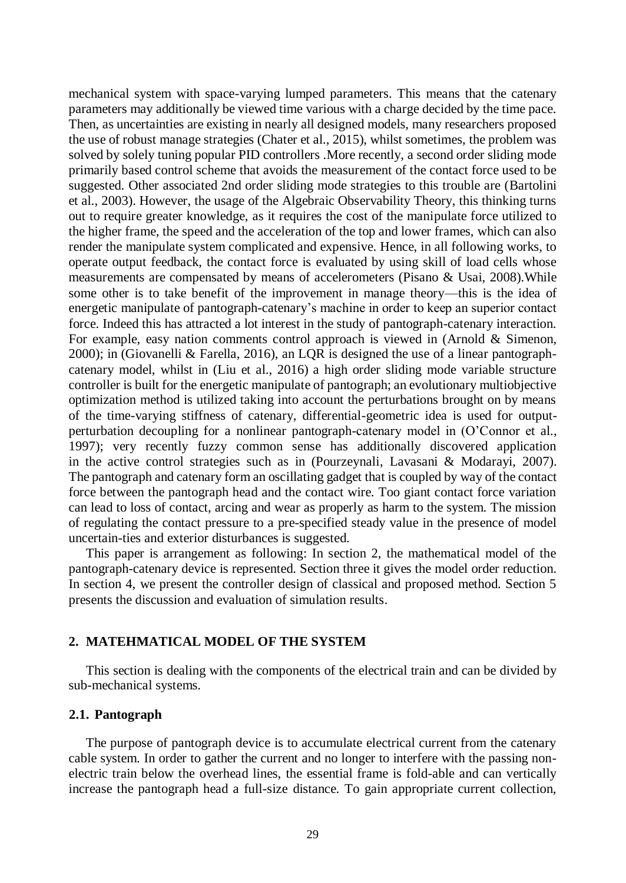mechanical system with space-varying lumped parameters. This means that the catenary parameters may additionally be viewed time various with a charge decided by the time pace. Then, as uncertainties are existing in nearly all designed models, many researchers proposed the use of robust manage strategies (Chater et al., 2015), whilst sometimes, the problem was solved by solely tuning popular PID controllers .More recently, a second order sliding mode primarily based control scheme that avoids the measurement of the contact force used to be suggested. Other associated 2nd order sliding mode strategies to this trouble are (Bartolini et al., 2003). However, the usage of the Algebraic Observability Theory, this thinking turns out to require greater knowledge, as it requires the cost of the manipulate force utilized to the higher frame, the speed and the acceleration of the top and lower frames, which can also render the manipulate system complicated and expensive. Hence, in all following works, to operate output feedback, the contact force is evaluated by using skill of load cells whose measurements are compensated by means of accelerometers (Pisano & Usai, 2008).While some other is to take benefit of the improvement in manage theory—this is the idea of energetic manipulate of pantograph-catenary's machine in order to keep an superior contact force. Indeed this has attracted a lot interest in the study of pantograph-catenary interaction. For example, easy nation comments control approach is viewed in (Arnold & Simenon, 2000); in (Giovanelli & Farella, 2016), an LQR is designed the use of a linear pantographcatenary model, whilst in (Liu et al., 2016) a high order sliding mode variable structure controller is built for the energetic manipulate of pantograph; an evolutionary multiobjective optimization method is utilized taking into account the perturbations brought on by means of the time-varying stiffness of catenary, differential-geometric idea is used for outputperturbation decoupling for a nonlinear pantograph-catenary model in (O'Connor et al., 1997); very recently fuzzy common sense has additionally discovered application in the active control strategies such as in (Pourzeynali, Lavasani & Modarayi, 2007). The pantograph and catenary form an oscillating gadget that is coupled by way of the contact force between the pantograph head and the contact wire. Too giant contact force variation can lead to loss of contact, arcing and wear as properly as harm to the system. The mission of regulating the contact pressure to a pre-specified steady value in the presence of model uncertain-ties and exterior disturbances is suggested.

This paper is arrangement as following: In section 2, the mathematical model of the pantograph-catenary device is represented. Section three it gives the model order reduction. In section 4, we present the controller design of classical and proposed method. Section 5 presents the discussion and evaluation of simulation results.

## **2. MATEHMATICAL MODEL OF THE SYSTEM**

This section is dealing with the components of the electrical train and can be divided by sub-mechanical systems.

## **2.1. Pantograph**

The purpose of pantograph device is to accumulate electrical current from the catenary cable system. In order to gather the current and no longer to interfere with the passing nonelectric train below the overhead lines, the essential frame is fold-able and can vertically increase the pantograph head a full-size distance. To gain appropriate current collection,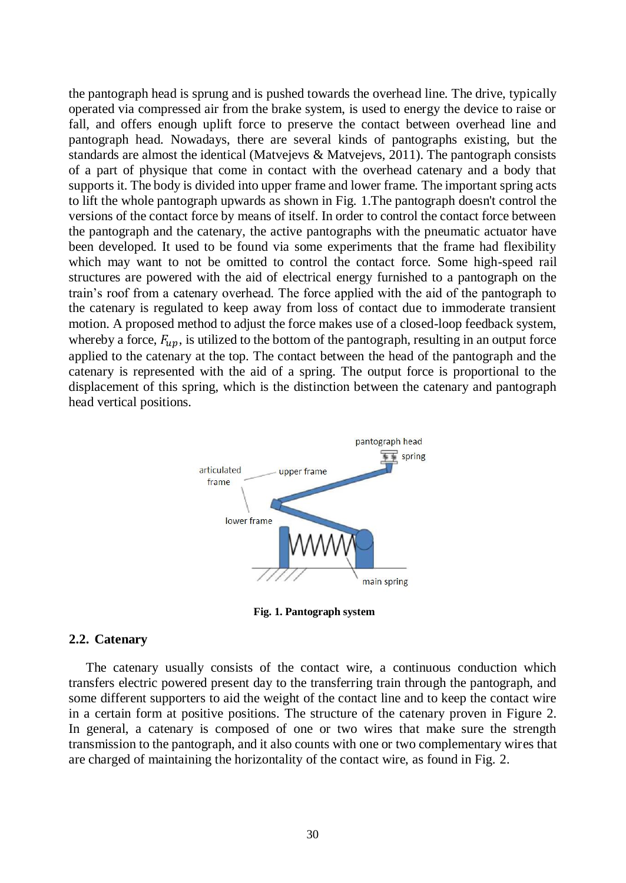the pantograph head is sprung and is pushed towards the overhead line. The drive, typically operated via compressed air from the brake system, is used to energy the device to raise or fall, and offers enough uplift force to preserve the contact between overhead line and pantograph head. Nowadays, there are several kinds of pantographs existing, but the standards are almost the identical (Matvejevs & Matvejevs, 2011). The pantograph consists of a part of physique that come in contact with the overhead catenary and a body that supports it. The body is divided into upper frame and lower frame. The important spring acts to lift the whole pantograph upwards as shown in Fig. 1.The pantograph doesn't control the versions of the contact force by means of itself. In order to control the contact force between the pantograph and the catenary, the active pantographs with the pneumatic actuator have been developed. It used to be found via some experiments that the frame had flexibility which may want to not be omitted to control the contact force. Some high-speed rail structures are powered with the aid of electrical energy furnished to a pantograph on the train's roof from a catenary overhead. The force applied with the aid of the pantograph to the catenary is regulated to keep away from loss of contact due to immoderate transient motion. A proposed method to adjust the force makes use of a closed-loop feedback system, whereby a force,  $F_{mn}$ , is utilized to the bottom of the pantograph, resulting in an output force applied to the catenary at the top. The contact between the head of the pantograph and the catenary is represented with the aid of a spring. The output force is proportional to the displacement of this spring, which is the distinction between the catenary and pantograph head vertical positions.



**Fig. 1. Pantograph system**

#### **2.2. Catenary**

The catenary usually consists of the contact wire, a continuous conduction which transfers electric powered present day to the transferring train through the pantograph, and some different supporters to aid the weight of the contact line and to keep the contact wire in a certain form at positive positions. The structure of the catenary proven in Figure 2. In general, a catenary is composed of one or two wires that make sure the strength transmission to the pantograph, and it also counts with one or two complementary wires that are charged of maintaining the horizontality of the contact wire, as found in Fig. 2.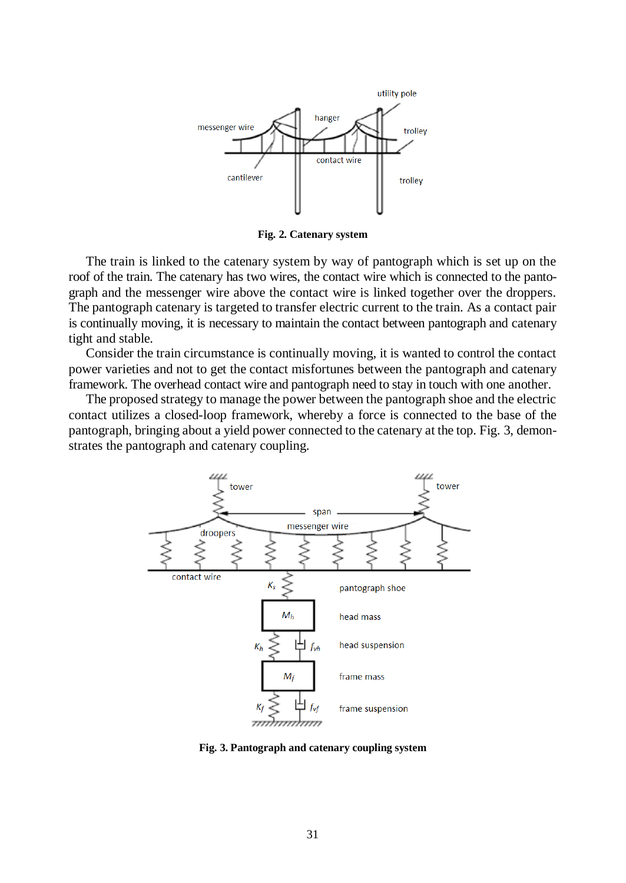

**Fig. 2. Catenary system**

The train is linked to the catenary system by way of pantograph which is set up on the roof of the train. The catenary has two wires, the contact wire which is connected to the pantograph and the messenger wire above the contact wire is linked together over the droppers. The pantograph catenary is targeted to transfer electric current to the train. As a contact pair is continually moving, it is necessary to maintain the contact between pantograph and catenary tight and stable.

Consider the train circumstance is continually moving, it is wanted to control the contact power varieties and not to get the contact misfortunes between the pantograph and catenary framework. The overhead contact wire and pantograph need to stay in touch with one another.

The proposed strategy to manage the power between the pantograph shoe and the electric contact utilizes a closed-loop framework, whereby a force is connected to the base of the pantograph, bringing about a yield power connected to the catenary at the top. Fig. 3, demonstrates the pantograph and catenary coupling.



**Fig. 3. Pantograph and catenary coupling system**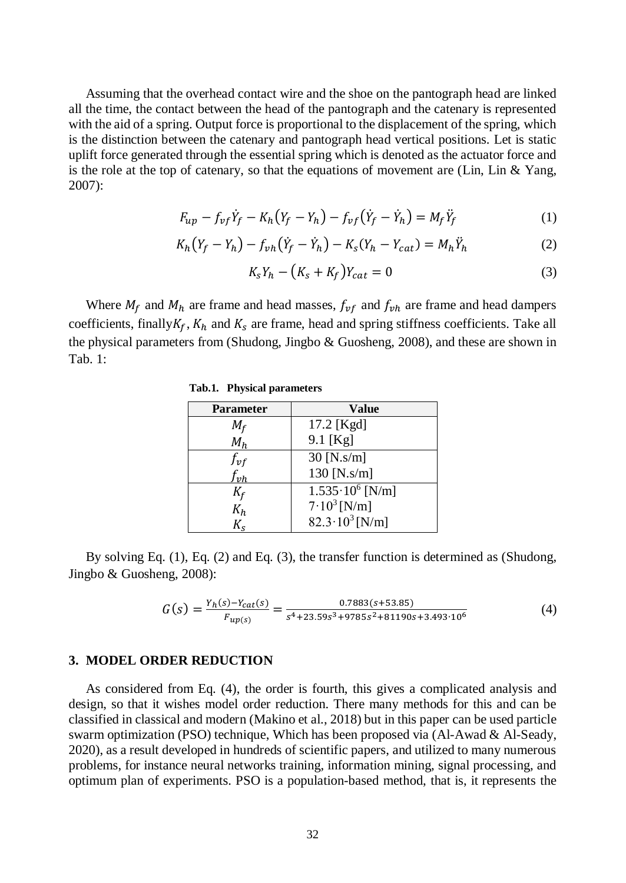Assuming that the overhead contact wire and the shoe on the pantograph head are linked all the time, the contact between the head of the pantograph and the catenary is represented with the aid of a spring. Output force is proportional to the displacement of the spring, which is the distinction between the catenary and pantograph head vertical positions. Let is static uplift force generated through the essential spring which is denoted as the actuator force and is the role at the top of catenary, so that the equations of movement are (Lin, Lin & Yang, 2007):

$$
F_{up} - f_{vf} \dot{Y}_f - K_h (Y_f - Y_h) - f_{vf} (\dot{Y}_f - \dot{Y}_h) = M_f \dot{Y}_f
$$
 (1)

$$
K_h(Y_f - Y_h) - f_{vh}(\dot{Y}_f - \dot{Y}_h) - K_s(Y_h - Y_{cat}) = M_h \ddot{Y}_h
$$
 (2)

$$
K_s Y_h - \left( K_s + K_f \right) Y_{cat} = 0 \tag{3}
$$

Where  $M_f$  and  $M_h$  are frame and head masses,  $f_{vf}$  and  $f_{vh}$  are frame and head dampers coefficients, finally  $K_f$ ,  $K_h$  and  $K_s$  are frame, head and spring stiffness coefficients. Take all the physical parameters from (Shudong, Jingbo & Guosheng, 2008), and these are shown in Tab. 1:

| <b>Parameter</b>         | <b>Value</b>             |  |
|--------------------------|--------------------------|--|
| $M_f$                    | 17.2 [Kgd]               |  |
| $M_h$                    | 9.1 [Kg]                 |  |
| $f_{\boldsymbol{\nu} f}$ | $30$ [N.s/m]             |  |
| fvh                      | 130 [N.s/m]              |  |
| $K_f$                    | $1.535 \cdot 10^6$ [N/m] |  |
| $K_h$                    | $7.10^3$ [N/m]           |  |
|                          | $82.3 \cdot 10^3$ [N/m]  |  |

**Tab.1. Physical parameters**

By solving Eq. (1), Eq. (2) and Eq. (3), the transfer function is determined as (Shudong, Jingbo & Guosheng, 2008):

$$
G(s) = \frac{Y_h(s) - Y_{cat}(s)}{F_{up(s)}} = \frac{0.7883(s + 53.85)}{s^4 + 23.59s^3 + 9785s^2 + 81190s + 3.493 \cdot 10^6}
$$
(4)

## **3. MODEL ORDER REDUCTION**

As considered from Eq. (4), the order is fourth, this gives a complicated analysis and design, so that it wishes model order reduction. There many methods for this and can be classified in classical and modern (Makino et al., 2018) but in this paper can be used particle swarm optimization (PSO) technique, Which has been proposed via (Al-Awad & Al-Seady, 2020), as a result developed in hundreds of scientific papers, and utilized to many numerous problems, for instance neural networks training, information mining, signal processing, and optimum plan of experiments. PSO is a population-based method, that is, it represents the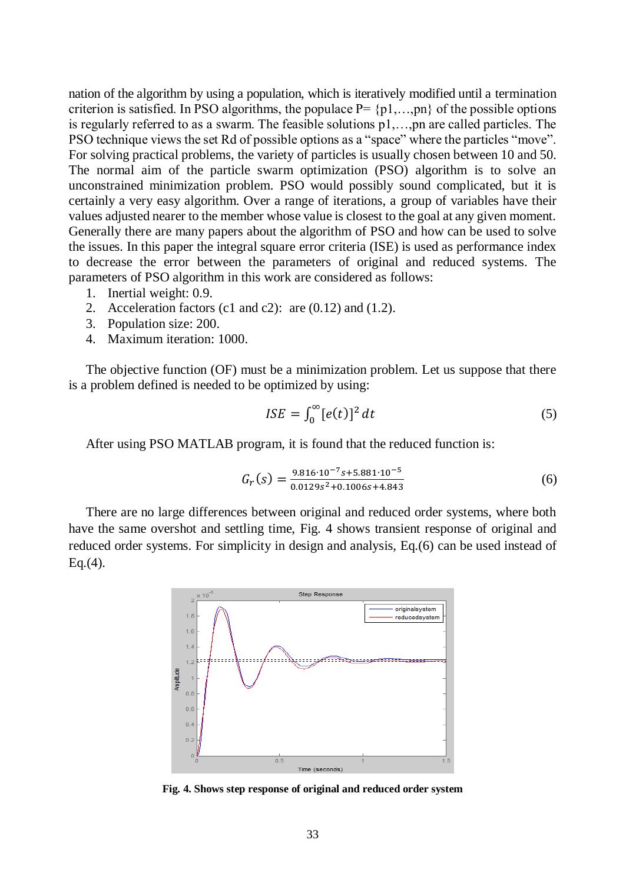nation of the algorithm by using a population, which is iteratively modified until a termination criterion is satisfied. In PSO algorithms, the populace  $P = \{p1, \ldots, pn\}$  of the possible options is regularly referred to as a swarm. The feasible solutions p1,…,pn are called particles. The PSO technique views the set Rd of possible options as a "space" where the particles "move". For solving practical problems, the variety of particles is usually chosen between 10 and 50. The normal aim of the particle swarm optimization (PSO) algorithm is to solve an unconstrained minimization problem. PSO would possibly sound complicated, but it is certainly a very easy algorithm. Over a range of iterations, a group of variables have their values adjusted nearer to the member whose value is closest to the goal at any given moment. Generally there are many papers about the algorithm of PSO and how can be used to solve the issues. In this paper the integral square error criteria (ISE) is used as performance index to decrease the error between the parameters of original and reduced systems. The parameters of PSO algorithm in this work are considered as follows:

- 1. Inertial weight: 0.9.
- 2. Acceleration factors (c1 and c2): are (0.12) and (1.2).
- 3. Population size: 200.
- 4. Maximum iteration: 1000.

The objective function (OF) must be a minimization problem. Let us suppose that there is a problem defined is needed to be optimized by using:

$$
ISE = \int_0^\infty [e(t)]^2 dt \tag{5}
$$

After using PSO MATLAB program, it is found that the reduced function is:

$$
G_r(s) = \frac{9.816 \cdot 10^{-7} s + 5.881 \cdot 10^{-5}}{0.0129 s^2 + 0.1006 s + 4.843}
$$
(6)

There are no large differences between original and reduced order systems, where both have the same overshot and settling time, Fig. 4 shows transient response of original and reduced order systems. For simplicity in design and analysis, Eq.(6) can be used instead of  $Eq. (4).$ 



**Fig. 4. Shows step response of original and reduced order system**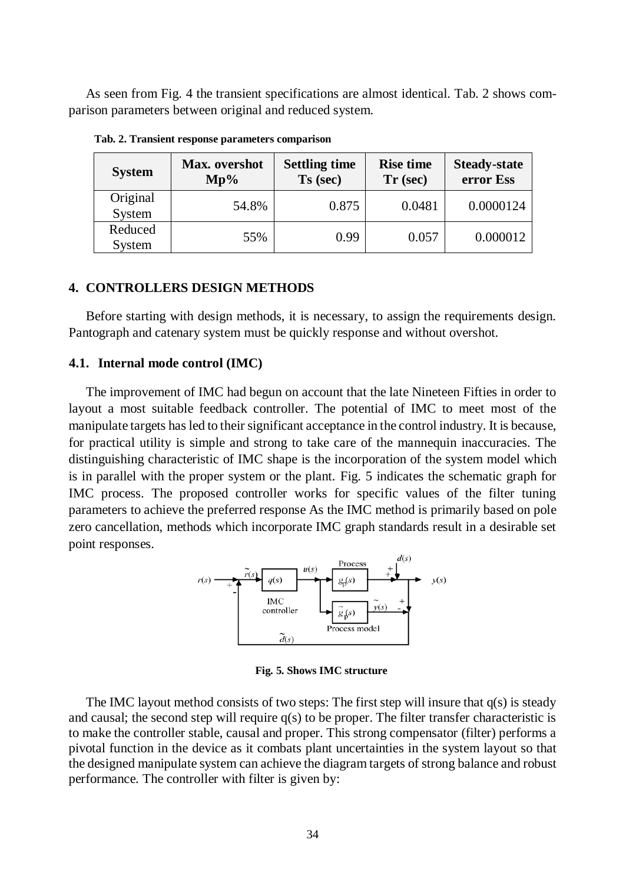As seen from Fig. 4 the transient specifications are almost identical. Tab. 2 shows comparison parameters between original and reduced system.

| <b>System</b>      | Max. overshot<br>$Mp\%$ | <b>Settling time</b><br>Ts (sec) | <b>Rise time</b><br>$Tr$ (sec) | <b>Steady-state</b><br>error Ess |
|--------------------|-------------------------|----------------------------------|--------------------------------|----------------------------------|
| Original<br>System | 54.8%                   | 0.875                            | 0.0481                         | 0.0000124                        |
| Reduced<br>System  | 55%                     | 0.99                             | 0.057                          | 0.000012                         |

 **Tab. 2. Transient response parameters comparison**

## **4. CONTROLLERS DESIGN METHODS**

Before starting with design methods, it is necessary, to assign the requirements design. Pantograph and catenary system must be quickly response and without overshot.

## **4.1. Internal mode control (IMC)**

The improvement of IMC had begun on account that the late Nineteen Fifties in order to layout a most suitable feedback controller. The potential of IMC to meet most of the manipulate targets has led to their significant acceptance in the control industry. It is because, for practical utility is simple and strong to take care of the mannequin inaccuracies. The distinguishing characteristic of IMC shape is the incorporation of the system model which is in parallel with the proper system or the plant. Fig. 5 indicates the schematic graph for IMC process. The proposed controller works for specific values of the filter tuning parameters to achieve the preferred response As the IMC method is primarily based on pole zero cancellation, methods which incorporate IMC graph standards result in a desirable set point responses.



**Fig. 5. Shows IMC structure**

The IMC layout method consists of two steps: The first step will insure that  $q(s)$  is steady and causal; the second step will require  $q(s)$  to be proper. The filter transfer characteristic is to make the controller stable, causal and proper. This strong compensator (filter) performs a pivotal function in the device as it combats plant uncertainties in the system layout so that the designed manipulate system can achieve the diagram targets of strong balance and robust performance. The controller with filter is given by: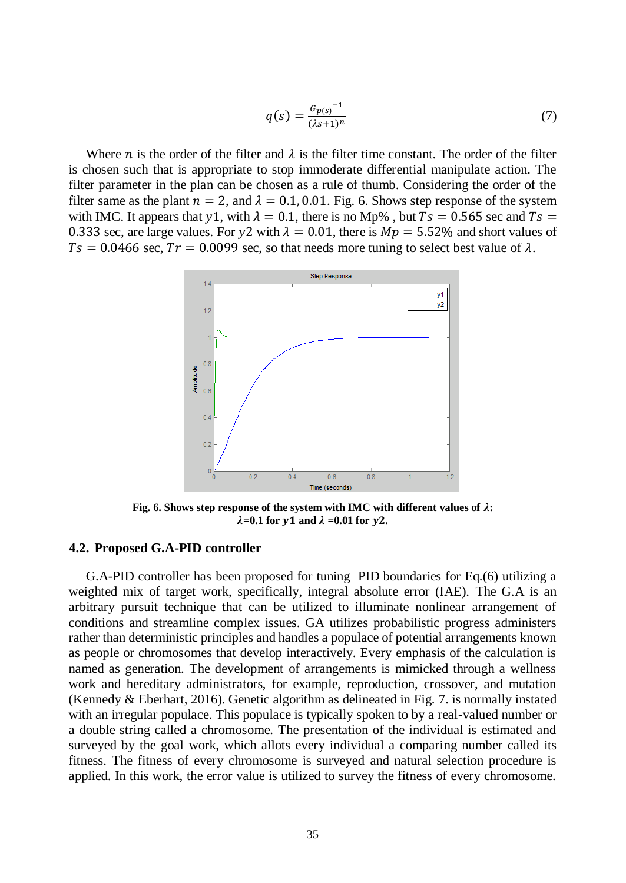$$
q(s) = \frac{G_{p(s)}^{-1}}{(\lambda s + 1)^n}
$$
 (7)

Where *n* is the order of the filter and  $\lambda$  is the filter time constant. The order of the filter is chosen such that is appropriate to stop immoderate differential manipulate action. The filter parameter in the plan can be chosen as a rule of thumb. Considering the order of the filter same as the plant  $n = 2$ , and  $\lambda = 0.1, 0.01$ . Fig. 6. Shows step response of the system with IMC. It appears that y1, with  $\lambda = 0.1$ , there is no Mp%, but  $Ts = 0.565$  sec and  $Ts =$ 0.333 sec, are large values. For y2 with  $\lambda = 0.01$ , there is  $Mp = 5.52\%$  and short values of  $T_s = 0.0466$  sec,  $Tr = 0.0099$  sec, so that needs more tuning to select best value of  $\lambda$ .



**Fig. 6. Shows step response of the system with IMC with different values of :**  $\lambda = 0.1$  for y1 and  $\lambda = 0.01$  for y2.

#### **4.2. Proposed G.A-PID controller**

G.A-PID controller has been proposed for tuning PID boundaries for Eq.(6) utilizing a weighted mix of target work, specifically, integral absolute error (IAE). The G.A is an arbitrary pursuit technique that can be utilized to illuminate nonlinear arrangement of conditions and streamline complex issues. GA utilizes probabilistic progress administers rather than deterministic principles and handles a populace of potential arrangements known as people or chromosomes that develop interactively. Every emphasis of the calculation is named as generation. The development of arrangements is mimicked through a wellness work and hereditary administrators, for example, reproduction, crossover, and mutation (Kennedy & Eberhart, 2016). Genetic algorithm as delineated in Fig. 7. is normally instated with an irregular populace. This populace is typically spoken to by a real-valued number or a double string called a chromosome. The presentation of the individual is estimated and surveyed by the goal work, which allots every individual a comparing number called its fitness. The fitness of every chromosome is surveyed and natural selection procedure is applied. In this work, the error value is utilized to survey the fitness of every chromosome.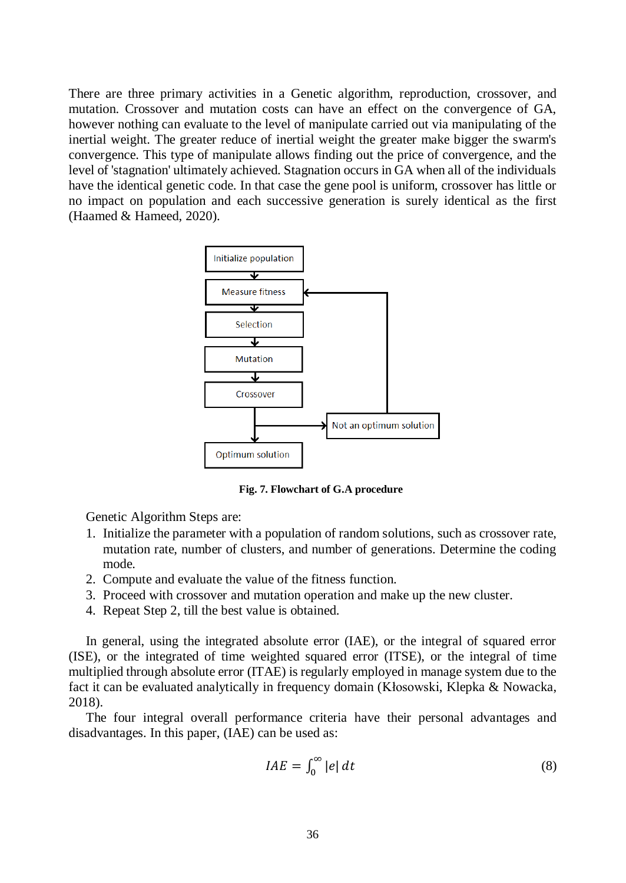There are three primary activities in a Genetic algorithm, reproduction, crossover, and mutation. Crossover and mutation costs can have an effect on the convergence of GA, however nothing can evaluate to the level of manipulate carried out via manipulating of the inertial weight. The greater reduce of inertial weight the greater make bigger the swarm's convergence. This type of manipulate allows finding out the price of convergence, and the level of 'stagnation' ultimately achieved. Stagnation occurs in GA when all of the individuals have the identical genetic code. In that case the gene pool is uniform, crossover has little or no impact on population and each successive generation is surely identical as the first (Haamed & Hameed, 2020).



 **Fig. 7. Flowchart of G.A procedure**

Genetic Algorithm Steps are:

- 1. Initialize the parameter with a population of random solutions, such as crossover rate, mutation rate, number of clusters, and number of generations. Determine the coding mode.
- 2. Compute and evaluate the value of the fitness function.
- 3. Proceed with crossover and mutation operation and make up the new cluster.
- 4. Repeat Step 2, till the best value is obtained.

In general, using the integrated absolute error (IAE), or the integral of squared error (ISE), or the integrated of time weighted squared error (ITSE), or the integral of time multiplied through absolute error (ITAE) is regularly employed in manage system due to the fact it can be evaluated analytically in frequency domain (Kłosowski, Klepka & Nowacka, 2018).

The four integral overall performance criteria have their personal advantages and disadvantages. In this paper, (IAE) can be used as:

$$
IAE = \int_0^\infty |e| \, dt \tag{8}
$$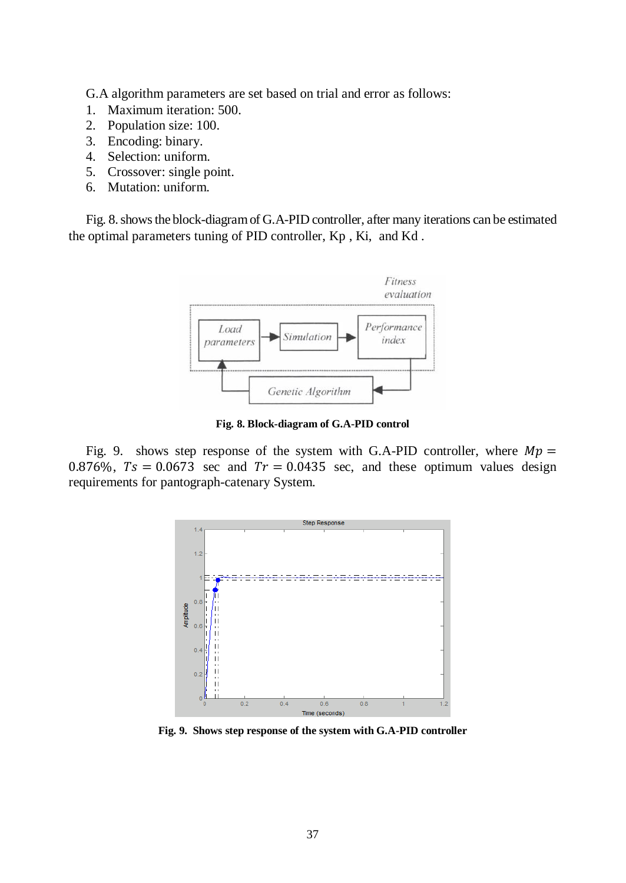G.A algorithm parameters are set based on trial and error as follows:

- 1. Maximum iteration: 500.
- 2. Population size: 100.
- 3. Encoding: binary.
- 4. Selection: uniform.
- 5. Crossover: single point.
- 6. Mutation: uniform.

Fig. 8. shows the block-diagram of G.A-PID controller, after many iterations can be estimated the optimal parameters tuning of PID controller, Kp , Ki, and Kd .



**Fig. 8. Block-diagram of G.A-PID control**

Fig. 9. shows step response of the system with G.A-PID controller, where  $Mp =$ 0.876%,  $Ts = 0.0673$  sec and  $Tr = 0.0435$  sec, and these optimum values design requirements for pantograph-catenary System.



**Fig. 9. Shows step response of the system with G.A-PID controller**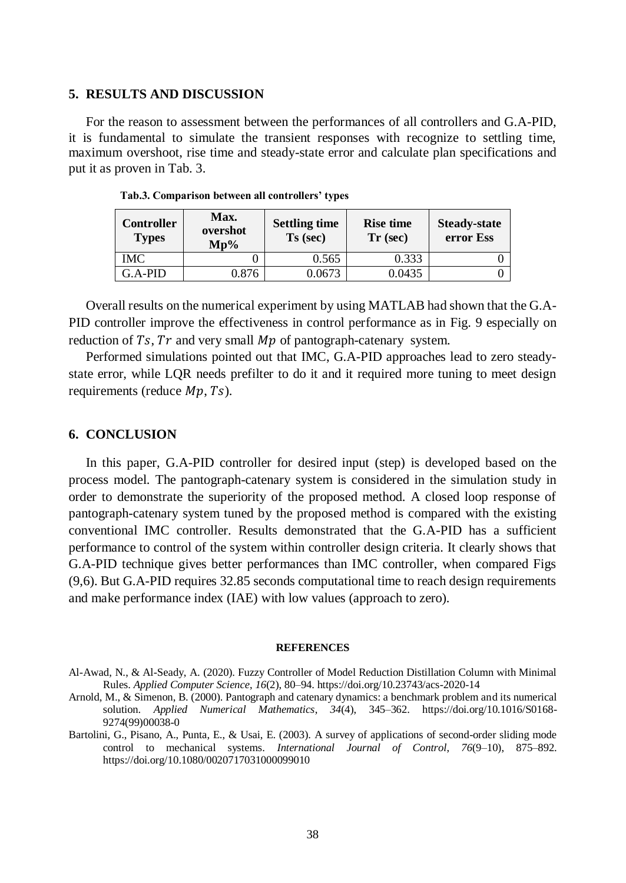#### **5. RESULTS AND DISCUSSION**

For the reason to assessment between the performances of all controllers and G.A-PID, it is fundamental to simulate the transient responses with recognize to settling time, maximum overshoot, rise time and steady-state error and calculate plan specifications and put it as proven in Tab. 3.

| <b>Controller</b><br><b>Types</b> | Max.<br>overshot<br>$Mn\%$ | <b>Settling time</b><br>$Ts$ (sec) | <b>Rise time</b><br>$Tr$ (sec) | <b>Steady-state</b><br>error Ess |
|-----------------------------------|----------------------------|------------------------------------|--------------------------------|----------------------------------|
| IMC                               |                            | 0.565                              | 0.333                          |                                  |
| $G.A-PID$                         | 0.876                      | 0.0673                             | 0.0435                         |                                  |

**Tab.3. Comparison between all controllers' types**

Overall results on the numerical experiment by using MATLAB had shown that the G.A-PID controller improve the effectiveness in control performance as in Fig. 9 especially on reduction of  $Ts$ ,  $Tr$  and very small  $Mp$  of pantograph-catenary system.

Performed simulations pointed out that IMC, G.A-PID approaches lead to zero steadystate error, while LQR needs prefilter to do it and it required more tuning to meet design requirements (reduce  $Mp$ ,  $Ts$ ).

#### **6. CONCLUSION**

In this paper, G.A-PID controller for desired input (step) is developed based on the process model. The pantograph-catenary system is considered in the simulation study in order to demonstrate the superiority of the proposed method. A closed loop response of pantograph-catenary system tuned by the proposed method is compared with the existing conventional IMC controller. Results demonstrated that the G.A-PID has a sufficient performance to control of the system within controller design criteria. It clearly shows that G.A-PID technique gives better performances than IMC controller, when compared Figs (9,6). But G.A-PID requires 32.85 seconds computational time to reach design requirements and make performance index (IAE) with low values (approach to zero).

#### **REFERENCES**

Al-Awad, N., & Al-Seady, A. (2020). Fuzzy Controller of Model Reduction Distillation Column with Minimal Rules. *Applied Computer Science*, *16*(2), 80–94. https://doi.org/10.23743/acs-2020-14

Arnold, M., & Simenon, B. (2000). Pantograph and catenary dynamics: a benchmark problem and its numerical solution. *Applied Numerical Mathematics*, *34*(4), 345–362. https://doi.org/10.1016/S0168- 9274(99)00038-0

Bartolini, G., Pisano, A., Punta, E., & Usai, E. (2003). A survey of applications of second-order sliding mode control to mechanical systems. *International Journal of Control*, *76*(9–10), 875–892. https://doi.org[/10.1080/0020717031000099010](https://www.researchgate.net/deref/http%3A%2F%2Fdx.doi.org%2F10.1080%2F0020717031000099010?_sg%5B0%5D=unyhoHeCsskTWqoZyar4Sy9_3Ps4DfNiBIREgq61VQ-651GNP7dAXXhzHa6GEKP3hovkmnlpngxKPB4EyvI62zT6hw.6ZR8LDOnZhTLRz2fwrofcJvuQjEIjkpQ1ORIGDR_homxBCKRzJzUZfduqeSpaBJ46rav59QnDLhIDfeVfyOZjw)